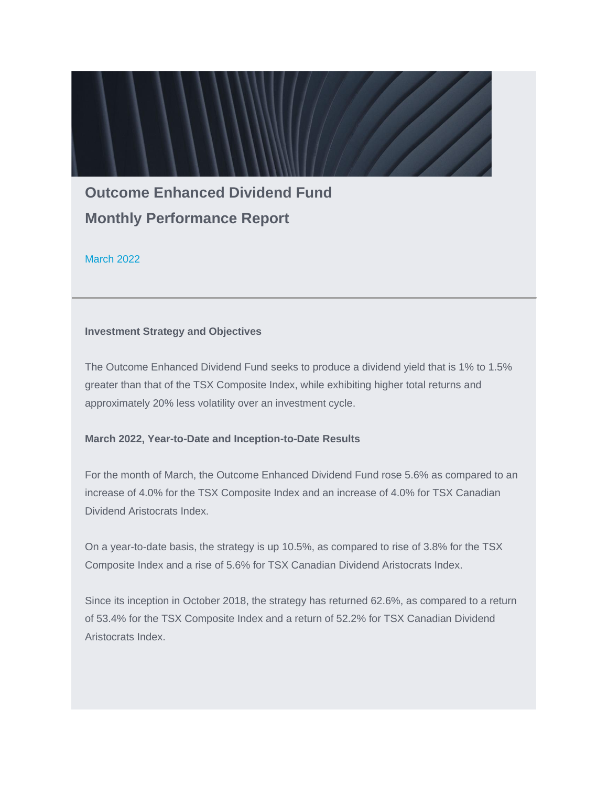# **Outcome Enhanced Dividend Fund Monthly Performance Report**

March 2022

### **Investment Strategy and Objectives**

The Outcome Enhanced Dividend Fund seeks to produce a dividend yield that is 1% to 1.5% greater than that of the TSX Composite Index, while exhibiting higher total returns and approximately 20% less volatility over an investment cycle.

#### **March 2022, Year-to-Date and Inception-to-Date Results**

For the month of March, the Outcome Enhanced Dividend Fund rose 5.6% as compared to an increase of 4.0% for the TSX Composite Index and an increase of 4.0% for TSX Canadian Dividend Aristocrats Index.

On a year-to-date basis, the strategy is up 10.5%, as compared to rise of 3.8% for the TSX Composite Index and a rise of 5.6% for TSX Canadian Dividend Aristocrats Index.

Since its inception in October 2018, the strategy has returned 62.6%, as compared to a return of 53.4% for the TSX Composite Index and a return of 52.2% for TSX Canadian Dividend Aristocrats Index.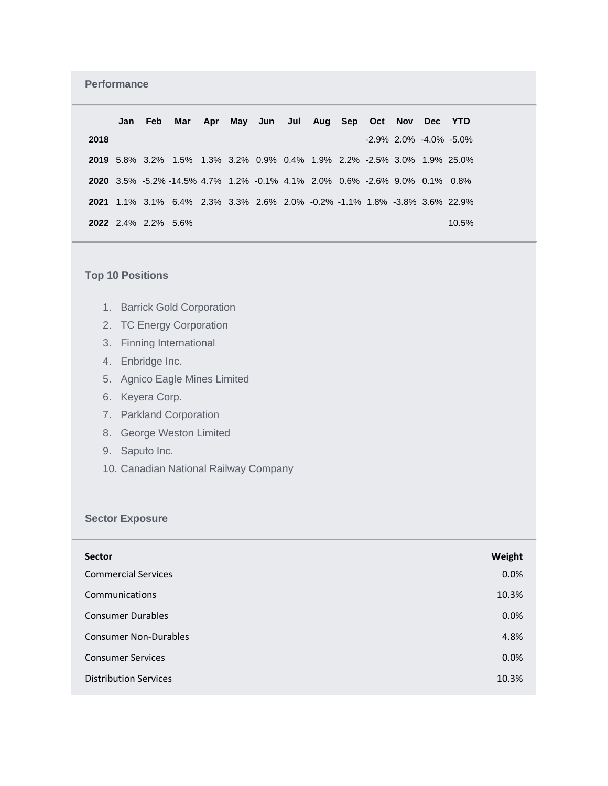## **Performance**

|      | Jan Feb                    |                                                                                   |  | Mar Apr May Jun Jul Aug Sep Oct Nov Dec YTD |  |  |  |                                 |  |
|------|----------------------------|-----------------------------------------------------------------------------------|--|---------------------------------------------|--|--|--|---------------------------------|--|
| 2018 |                            |                                                                                   |  |                                             |  |  |  | $-2.9\%$ 2.0% $-4.0\%$ $-5.0\%$ |  |
|      |                            | <b>2019</b> 5.8% 3.2% 1.5% 1.3% 3.2% 0.9% 0.4% 1.9% 2.2% -2.5% 3.0% 1.9% 25.0%    |  |                                             |  |  |  |                                 |  |
|      |                            | <b>2020</b> 3.5% -5.2% -14.5% 4.7% 1.2% -0.1% 4.1% 2.0% 0.6% -2.6% 9.0% 0.1% 0.8% |  |                                             |  |  |  |                                 |  |
|      |                            | 2021 1.1% 3.1% 6.4% 2.3% 3.3% 2.6% 2.0% -0.2% -1.1% 1.8% -3.8% 3.6% 22.9%         |  |                                             |  |  |  |                                 |  |
|      | <b>2022</b> 2.4% 2.2% 5.6% |                                                                                   |  |                                             |  |  |  | 10.5%                           |  |

# **Top 10 Positions**

- 1. Barrick Gold Corporation
- 2. TC Energy Corporation
- 3. Finning International
- 4. Enbridge Inc.
- 5. Agnico Eagle Mines Limited
- 6. Keyera Corp.
- 7. Parkland Corporation
- 8. George Weston Limited
- 9. Saputo Inc.
- 10. Canadian National Railway Company

### **Sector Exposure**

| <b>Sector</b>                | Weight |
|------------------------------|--------|
| <b>Commercial Services</b>   | 0.0%   |
| Communications               | 10.3%  |
| <b>Consumer Durables</b>     | 0.0%   |
| <b>Consumer Non-Durables</b> | 4.8%   |
| <b>Consumer Services</b>     | 0.0%   |
| <b>Distribution Services</b> | 10.3%  |